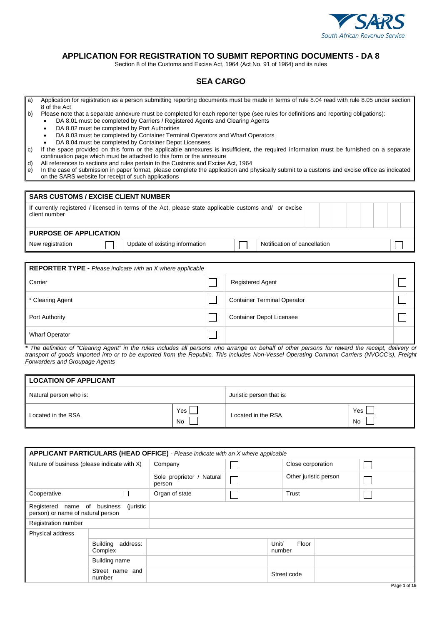

## **APPLICATION FOR REGISTRATION TO SUBMIT REPORTING DOCUMENTS - DA 8**

Section 8 of the Customs and Excise Act, 1964 (Act No. 91 of 1964) and its rules

## **SEA CARGO**

- a) Application for registration as a person submitting reporting documents must be made in terms of rule 8.04 read with rule 8.05 under section 8 of the Act
- b) Please note that a separate annexure must be completed for each reporter type (see rules for definitions and reporting obligations):
	- DA 8.01 must be completed by Carriers / Registered Agents and Clearing Agents
	- DA 8.02 must be completed by Port Authorities
	- DA 8.03 must be completed by Container Terminal Operators and Wharf Operators
	- DA 8.04 must be completed by Container Depot Licensees
- c) If the space provided on this form or the applicable annexures is insufficient, the required information must be furnished on a separate continuation page which must be attached to this form or the annexure
- d) All references to sections and rules pertain to the Customs and Excise Act, 1964
- e) In the case of submission in paper format, please complete the application and physically submit to a customs and excise office as indicated on the SARS website for receipt of such applications

| <b>SARS CUSTOMS / EXCISE CLIENT NUMBER</b>                                                                             |  |                                |  |                              |  |  |  |  |  |  |
|------------------------------------------------------------------------------------------------------------------------|--|--------------------------------|--|------------------------------|--|--|--|--|--|--|
| If currently registered / licensed in terms of the Act, please state applicable customs and or excise<br>client number |  |                                |  |                              |  |  |  |  |  |  |
| <b>PURPOSE OF APPLICATION</b>                                                                                          |  |                                |  |                              |  |  |  |  |  |  |
| New registration                                                                                                       |  | Update of existing information |  | Notification of cancellation |  |  |  |  |  |  |

| <b>REPORTER TYPE - Please indicate with an X where applicable</b> |  |                                    |  |  |  |  |  |  |  |
|-------------------------------------------------------------------|--|------------------------------------|--|--|--|--|--|--|--|
| Carrier                                                           |  | <b>Registered Agent</b>            |  |  |  |  |  |  |  |
| * Clearing Agent                                                  |  | <b>Container Terminal Operator</b> |  |  |  |  |  |  |  |
| <b>Port Authority</b>                                             |  | <b>Container Depot Licensee</b>    |  |  |  |  |  |  |  |
| <b>Wharf Operator</b>                                             |  |                                    |  |  |  |  |  |  |  |

*\* The definition of "Clearing Agent" in the rules includes all persons who arrange on behalf of other persons for reward the receipt, delivery or transport of goods imported into or to be exported from the Republic. This includes Non-Vessel Operating Common Carriers (NVOCC's), Freight Forwarders and Groupage Agents*

| <b>LOCATION OF APPLICANT</b> |                  |                          |           |  |  |  |  |  |  |
|------------------------------|------------------|--------------------------|-----------|--|--|--|--|--|--|
| Natural person who is:       |                  | Juristic person that is: |           |  |  |  |  |  |  |
| Located in the RSA           | Yes<br><b>No</b> | Located in the RSA       | Yes<br>No |  |  |  |  |  |  |

|                                                                               | APPLICANT PARTICULARS (HEAD OFFICE) - Please indicate with an X where applicable |                                     |  |                 |                       |  |  |  |  |  |  |
|-------------------------------------------------------------------------------|----------------------------------------------------------------------------------|-------------------------------------|--|-----------------|-----------------------|--|--|--|--|--|--|
| Nature of business (please indicate with X)                                   |                                                                                  | Company                             |  |                 | Close corporation     |  |  |  |  |  |  |
|                                                                               |                                                                                  | Sole proprietor / Natural<br>person |  |                 | Other juristic person |  |  |  |  |  |  |
| Cooperative                                                                   | П                                                                                | Organ of state                      |  |                 | Trust                 |  |  |  |  |  |  |
| Registered name of business<br>(juristic<br>person) or name of natural person |                                                                                  |                                     |  |                 |                       |  |  |  |  |  |  |
| <b>Registration number</b>                                                    |                                                                                  |                                     |  |                 |                       |  |  |  |  |  |  |
| Physical address                                                              |                                                                                  |                                     |  |                 |                       |  |  |  |  |  |  |
|                                                                               | Building address:<br>Complex                                                     |                                     |  | Unit/<br>number | Floor                 |  |  |  |  |  |  |
|                                                                               | <b>Building name</b>                                                             |                                     |  |                 |                       |  |  |  |  |  |  |
|                                                                               | Street name and<br>number                                                        |                                     |  |                 | Street code           |  |  |  |  |  |  |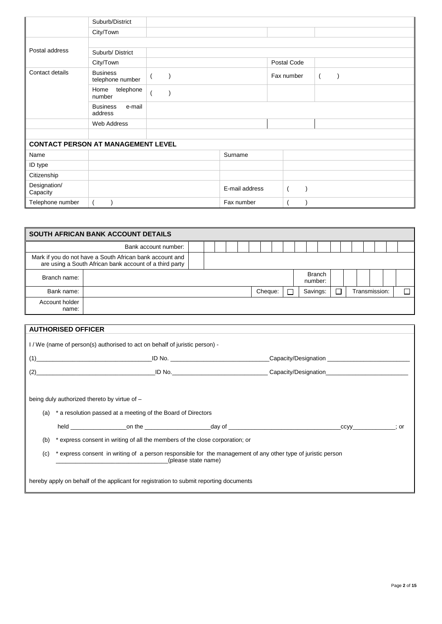|                                           | Suburb/District                      |                |             |                |  |  |
|-------------------------------------------|--------------------------------------|----------------|-------------|----------------|--|--|
|                                           | City/Town                            |                |             |                |  |  |
|                                           |                                      |                |             |                |  |  |
| Postal address                            | Suburb/District                      |                |             |                |  |  |
|                                           | City/Town                            |                | Postal Code |                |  |  |
| Contact details                           | <b>Business</b><br>telephone number  |                | Fax number  | $\overline{ }$ |  |  |
|                                           | telephone<br>Home<br>number          |                |             |                |  |  |
|                                           | <b>Business</b><br>e-mail<br>address |                |             |                |  |  |
|                                           | Web Address                          |                |             |                |  |  |
|                                           |                                      |                |             |                |  |  |
| <b>CONTACT PERSON AT MANAGEMENT LEVEL</b> |                                      |                |             |                |  |  |
| Name                                      |                                      | Surname        |             |                |  |  |
| ID type                                   |                                      |                |             |                |  |  |
| Citizenship                               |                                      |                |             |                |  |  |
| Designation/<br>Capacity                  |                                      | E-mail address |             |                |  |  |
| Telephone number                          |                                      | Fax number     |             |                |  |  |

| SOUTH AFRICAN BANK ACCOUNT DETAILS                                                                                  |                      |  |  |  |  |  |                          |         |  |  |          |   |  |               |  |  |
|---------------------------------------------------------------------------------------------------------------------|----------------------|--|--|--|--|--|--------------------------|---------|--|--|----------|---|--|---------------|--|--|
|                                                                                                                     | Bank account number: |  |  |  |  |  |                          |         |  |  |          |   |  |               |  |  |
| Mark if you do not have a South African bank account and<br>are using a South African bank account of a third party |                      |  |  |  |  |  |                          |         |  |  |          |   |  |               |  |  |
| Branch name:                                                                                                        |                      |  |  |  |  |  | <b>Branch</b><br>number: |         |  |  |          |   |  |               |  |  |
| Bank name:                                                                                                          |                      |  |  |  |  |  |                          | Cheque: |  |  | Savings: | □ |  | Transmission: |  |  |
| Account holder<br>name:                                                                                             |                      |  |  |  |  |  |                          |         |  |  |          |   |  |               |  |  |

|     | <b>AUTHORISED OFFICER</b>                                                                                                           |                                                                              |        |                                                                                                                                                                                                                                |     |  |  |  |  |  |  |
|-----|-------------------------------------------------------------------------------------------------------------------------------------|------------------------------------------------------------------------------|--------|--------------------------------------------------------------------------------------------------------------------------------------------------------------------------------------------------------------------------------|-----|--|--|--|--|--|--|
|     | I/We (name of person(s) authorised to act on behalf of juristic person) -                                                           |                                                                              |        |                                                                                                                                                                                                                                |     |  |  |  |  |  |  |
|     |                                                                                                                                     | $(1) \qquad \qquad \overbrace{\qquad \qquad }$                               | ID No. | Capacity/Designation                                                                                                                                                                                                           |     |  |  |  |  |  |  |
|     |                                                                                                                                     |                                                                              |        | (2) Capacity/Designation Capacity Constant Constant Constant Constant Constant Constant Constant Constant Constant Constant Constant Constant Constant Constant Constant Constant Constant Constant Constant Constant Constant |     |  |  |  |  |  |  |
|     | being duly authorized thereto by virtue of -                                                                                        |                                                                              |        |                                                                                                                                                                                                                                |     |  |  |  |  |  |  |
|     |                                                                                                                                     |                                                                              |        |                                                                                                                                                                                                                                |     |  |  |  |  |  |  |
| (a) |                                                                                                                                     | * a resolution passed at a meeting of the Board of Directors                 |        |                                                                                                                                                                                                                                |     |  |  |  |  |  |  |
|     |                                                                                                                                     |                                                                              |        |                                                                                                                                                                                                                                | ∶or |  |  |  |  |  |  |
| (b) |                                                                                                                                     | * express consent in writing of all the members of the close corporation; or |        |                                                                                                                                                                                                                                |     |  |  |  |  |  |  |
| (c) | * express consent in writing of a person responsible for the management of any other type of juristic person<br>(please state name) |                                                                              |        |                                                                                                                                                                                                                                |     |  |  |  |  |  |  |
|     | hereby apply on behalf of the applicant for registration to submit reporting documents                                              |                                                                              |        |                                                                                                                                                                                                                                |     |  |  |  |  |  |  |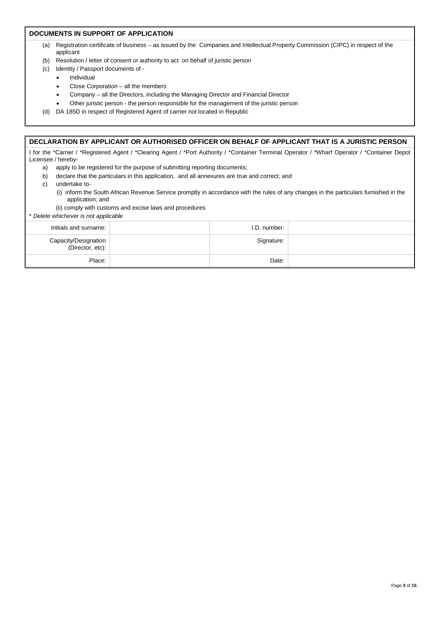#### **DOCUMENTS IN SUPPORT OF APPLICATION**

- (a) Registration certificate of business as issued by the Companies and Intellectual Property Commission (CIPC) in respect of the applicant
- (b) Resolution / letter of consent or authority to act on behalf of juristic person
- (c) Identity / Passport documents of
	- **Individual**
	- Close Corporation all the members
	- Company all the Directors, including the Managing Director and Financial Director
	- Other juristic person the person responsible for the management of the juristic person
- (d) DA 185D in respect of Registered Agent of carrier not located in Republic

#### **DECLARATION BY APPLICANT OR AUTHORISED OFFICER ON BEHALF OF APPLICANT THAT IS A JURISTIC PERSON**

I for the \*Carrier / \*Registered Agent / \*Clearing Agent / \*Port Authority / \*Container Terminal Operator / \*Wharf Operator / \*Container Depot Licensee / hereby-

- a) apply to be registered for the purpose of submitting reporting documents;
- b) declare that the particulars in this application, and all annexures are true and correct; and
- c) undertake to-
	- (i) inform the South African Revenue Service promptly in accordance with the rules of any changes in the particulars furnished in the application; and
	- (ii) comply with customs and excise laws and procedures

\* *Delete whichever is not applicable*

| Initials and surname:                      | I.D. number: |  |
|--------------------------------------------|--------------|--|
| Capacity/Designation<br>  (Director, etc): | Signature:   |  |
| Place:                                     | Date:        |  |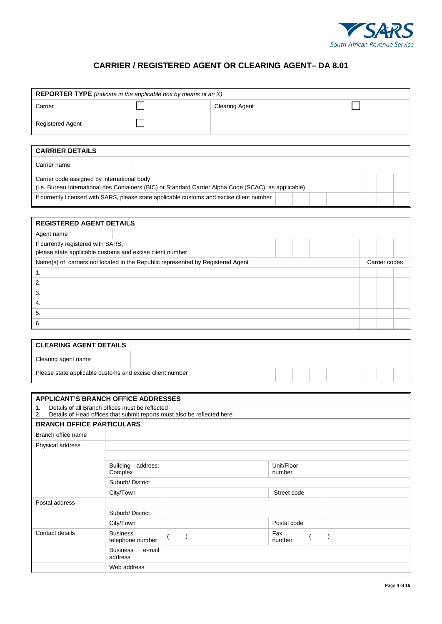

# **CARRIER / REGISTERED AGENT OR CLEARING AGENT– DA 8.01**

| <b>REPORTER TYPE</b> (Indicate in the applicable box by means of an $X$ )                             |                                             |                       |  |  |  |  |  |  |
|-------------------------------------------------------------------------------------------------------|---------------------------------------------|-----------------------|--|--|--|--|--|--|
| Carrier                                                                                               |                                             | <b>Clearing Agent</b> |  |  |  |  |  |  |
| <b>Registered Agent</b>                                                                               |                                             |                       |  |  |  |  |  |  |
|                                                                                                       |                                             |                       |  |  |  |  |  |  |
| <b>CARRIER DETAILS</b>                                                                                |                                             |                       |  |  |  |  |  |  |
| Carrier name                                                                                          |                                             |                       |  |  |  |  |  |  |
|                                                                                                       | Carrier code assigned by international body |                       |  |  |  |  |  |  |
| (i.e. Bureau International des Containers (BIC) or Standard Carrier Alpha Code (SCAC), as applicable) |                                             |                       |  |  |  |  |  |  |
| If currently licensed with SARS, please state applicable customs and excise client number             |                                             |                       |  |  |  |  |  |  |

l

| <b>REGISTERED AGENT DETAILS</b>                          |                                                                                 |  |  |  |  |  |  |               |  |
|----------------------------------------------------------|---------------------------------------------------------------------------------|--|--|--|--|--|--|---------------|--|
| Agent name                                               |                                                                                 |  |  |  |  |  |  |               |  |
| If currently registered with SARS,                       |                                                                                 |  |  |  |  |  |  |               |  |
| please state applicable customs and excise client number |                                                                                 |  |  |  |  |  |  |               |  |
|                                                          | Name(s) of carriers not located in the Republic represented by Registered Agent |  |  |  |  |  |  | Carrier codes |  |
| -1.                                                      |                                                                                 |  |  |  |  |  |  |               |  |
| 2.                                                       |                                                                                 |  |  |  |  |  |  |               |  |
| 3.                                                       |                                                                                 |  |  |  |  |  |  |               |  |
| 4.                                                       |                                                                                 |  |  |  |  |  |  |               |  |
| 5.                                                       |                                                                                 |  |  |  |  |  |  |               |  |
| 6.                                                       |                                                                                 |  |  |  |  |  |  |               |  |

| <b>CLEARING AGENT DETAILS</b>                            |  |  |  |  |  |
|----------------------------------------------------------|--|--|--|--|--|
| Clearing agent name                                      |  |  |  |  |  |
| Please state applicable customs and excise client number |  |  |  |  |  |

| <b>APPLICANT'S BRANCH OFFICE ADDRESSES</b>                                                                                                         |                                        |  |                      |  |  |  |  |  |
|----------------------------------------------------------------------------------------------------------------------------------------------------|----------------------------------------|--|----------------------|--|--|--|--|--|
| Details of all Branch offices must be reflected<br>$\mathbf{1}$ .<br>2.<br>Details of Head offices that submit reports must also be reflected here |                                        |  |                      |  |  |  |  |  |
| <b>BRANCH OFFICE PARTICULARS</b>                                                                                                                   |                                        |  |                      |  |  |  |  |  |
| Branch office name                                                                                                                                 |                                        |  |                      |  |  |  |  |  |
| Physical address                                                                                                                                   |                                        |  |                      |  |  |  |  |  |
|                                                                                                                                                    |                                        |  |                      |  |  |  |  |  |
|                                                                                                                                                    | address:<br><b>Building</b><br>Complex |  | Unit/Floor<br>number |  |  |  |  |  |
|                                                                                                                                                    | Suburb/District                        |  |                      |  |  |  |  |  |
|                                                                                                                                                    | City/Town                              |  | Street code          |  |  |  |  |  |
| Postal address                                                                                                                                     |                                        |  |                      |  |  |  |  |  |
|                                                                                                                                                    | Suburb/District                        |  |                      |  |  |  |  |  |
|                                                                                                                                                    | City/Town                              |  | Postal code          |  |  |  |  |  |
| Contact details                                                                                                                                    | <b>Business</b><br>telephone number    |  | Fax<br>number        |  |  |  |  |  |
|                                                                                                                                                    | e-mail<br><b>Business</b><br>address   |  |                      |  |  |  |  |  |
|                                                                                                                                                    | Web address                            |  |                      |  |  |  |  |  |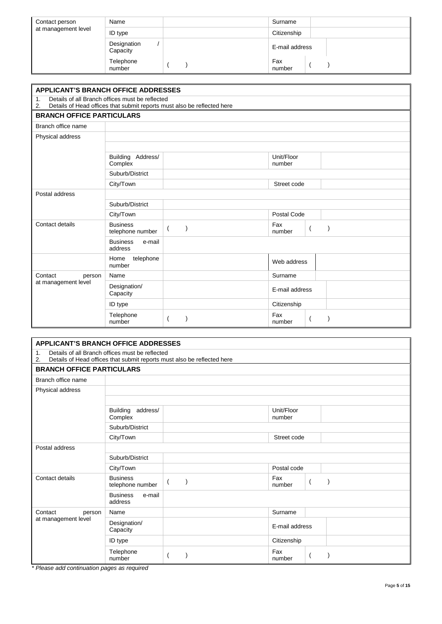| Contact person<br>at management level | Name                    | Surname        |
|---------------------------------------|-------------------------|----------------|
|                                       | ID type                 | Citizenship    |
|                                       | Designation<br>Capacity | E-mail address |
|                                       | Telephone<br>number     | Fax<br>number  |

| <b>APPLICANT'S BRANCH OFFICE ADDRESSES</b>                                                                                                         |                                      |  |                      |  |  |  |  |
|----------------------------------------------------------------------------------------------------------------------------------------------------|--------------------------------------|--|----------------------|--|--|--|--|
| Details of all Branch offices must be reflected<br>$\mathbf{1}$ .<br>Details of Head offices that submit reports must also be reflected here<br>2. |                                      |  |                      |  |  |  |  |
| <b>BRANCH OFFICE PARTICULARS</b>                                                                                                                   |                                      |  |                      |  |  |  |  |
| Branch office name                                                                                                                                 |                                      |  |                      |  |  |  |  |
| Physical address                                                                                                                                   |                                      |  |                      |  |  |  |  |
|                                                                                                                                                    |                                      |  |                      |  |  |  |  |
|                                                                                                                                                    | Building Address/<br>Complex         |  | Unit/Floor<br>number |  |  |  |  |
|                                                                                                                                                    | Suburb/District                      |  |                      |  |  |  |  |
|                                                                                                                                                    | City/Town                            |  | Street code          |  |  |  |  |
| Postal address                                                                                                                                     |                                      |  |                      |  |  |  |  |
|                                                                                                                                                    | Suburb/District                      |  |                      |  |  |  |  |
|                                                                                                                                                    | City/Town                            |  | Postal Code          |  |  |  |  |
| Contact details                                                                                                                                    | <b>Business</b><br>telephone number  |  | Fax<br>number        |  |  |  |  |
|                                                                                                                                                    | <b>Business</b><br>e-mail<br>address |  |                      |  |  |  |  |
|                                                                                                                                                    | telephone<br>Home<br>number          |  | Web address          |  |  |  |  |
| Contact<br>person                                                                                                                                  | Name                                 |  | Surname              |  |  |  |  |
| at management level                                                                                                                                | Designation/<br>Capacity             |  | E-mail address       |  |  |  |  |
|                                                                                                                                                    | ID type                              |  | Citizenship          |  |  |  |  |
|                                                                                                                                                    | Telephone<br>number                  |  | Fax<br>number        |  |  |  |  |

| <b>APPLICANT'S BRANCH OFFICE ADDRESSES</b>                                                                                                         |                                        |  |  |                      |  |  |  |  |
|----------------------------------------------------------------------------------------------------------------------------------------------------|----------------------------------------|--|--|----------------------|--|--|--|--|
| Details of all Branch offices must be reflected<br>$\mathbf{1}$ .<br>Details of Head offices that submit reports must also be reflected here<br>2. |                                        |  |  |                      |  |  |  |  |
|                                                                                                                                                    | <b>BRANCH OFFICE PARTICULARS</b>       |  |  |                      |  |  |  |  |
| Branch office name                                                                                                                                 |                                        |  |  |                      |  |  |  |  |
| Physical address                                                                                                                                   |                                        |  |  |                      |  |  |  |  |
|                                                                                                                                                    |                                        |  |  |                      |  |  |  |  |
|                                                                                                                                                    | <b>Building</b><br>address/<br>Complex |  |  | Unit/Floor<br>number |  |  |  |  |
|                                                                                                                                                    | Suburb/District                        |  |  |                      |  |  |  |  |
|                                                                                                                                                    | City/Town                              |  |  | Street code          |  |  |  |  |
| Postal address                                                                                                                                     |                                        |  |  |                      |  |  |  |  |
|                                                                                                                                                    | Suburb/District                        |  |  |                      |  |  |  |  |
|                                                                                                                                                    | City/Town                              |  |  | Postal code          |  |  |  |  |
| Contact details                                                                                                                                    | <b>Business</b><br>telephone number    |  |  | Fax<br>number        |  |  |  |  |
|                                                                                                                                                    | <b>Business</b><br>e-mail<br>address   |  |  |                      |  |  |  |  |
| Contact<br>person                                                                                                                                  | Name                                   |  |  | Surname              |  |  |  |  |
| at management level                                                                                                                                | Designation/<br>Capacity               |  |  | E-mail address       |  |  |  |  |
|                                                                                                                                                    | ID type                                |  |  | Citizenship          |  |  |  |  |
|                                                                                                                                                    | Telephone<br>number                    |  |  | Fax<br>number        |  |  |  |  |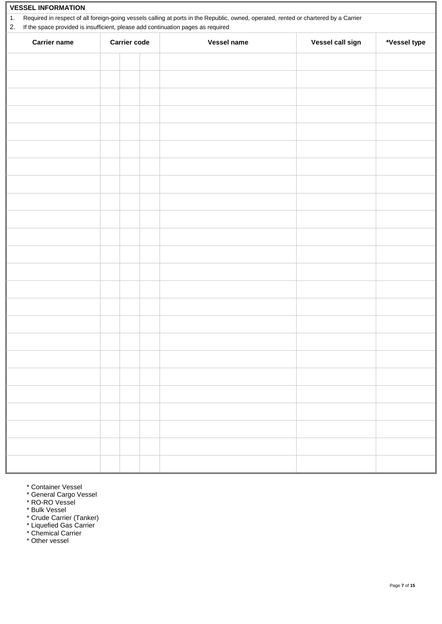| <b>VESSEL INFORMATION</b> |                                                                                                                                                                                                                          |                     |  |                    |                  |              |  |  |
|---------------------------|--------------------------------------------------------------------------------------------------------------------------------------------------------------------------------------------------------------------------|---------------------|--|--------------------|------------------|--------------|--|--|
| 1.                        | Required in respect of all foreign-going vessels calling at ports in the Republic, owned, operated, rented or chartered by a Carrier<br>If the space provided is insufficient, please add continuation pages as required |                     |  |                    |                  |              |  |  |
| 2.                        |                                                                                                                                                                                                                          |                     |  |                    |                  |              |  |  |
| <b>Carrier name</b>       |                                                                                                                                                                                                                          | <b>Carrier code</b> |  | <b>Vessel name</b> | Vessel call sign | *Vessel type |  |  |
|                           |                                                                                                                                                                                                                          |                     |  |                    |                  |              |  |  |
|                           |                                                                                                                                                                                                                          |                     |  |                    |                  |              |  |  |
|                           |                                                                                                                                                                                                                          |                     |  |                    |                  |              |  |  |
|                           |                                                                                                                                                                                                                          |                     |  |                    |                  |              |  |  |
|                           |                                                                                                                                                                                                                          |                     |  |                    |                  |              |  |  |
|                           |                                                                                                                                                                                                                          |                     |  |                    |                  |              |  |  |
|                           |                                                                                                                                                                                                                          |                     |  |                    |                  |              |  |  |
|                           |                                                                                                                                                                                                                          |                     |  |                    |                  |              |  |  |
|                           |                                                                                                                                                                                                                          |                     |  |                    |                  |              |  |  |
|                           |                                                                                                                                                                                                                          |                     |  |                    |                  |              |  |  |
|                           |                                                                                                                                                                                                                          |                     |  |                    |                  |              |  |  |
|                           |                                                                                                                                                                                                                          |                     |  |                    |                  |              |  |  |
|                           |                                                                                                                                                                                                                          |                     |  |                    |                  |              |  |  |
|                           |                                                                                                                                                                                                                          |                     |  |                    |                  |              |  |  |
|                           |                                                                                                                                                                                                                          |                     |  |                    |                  |              |  |  |
|                           |                                                                                                                                                                                                                          |                     |  |                    |                  |              |  |  |
|                           |                                                                                                                                                                                                                          |                     |  |                    |                  |              |  |  |
|                           |                                                                                                                                                                                                                          |                     |  |                    |                  |              |  |  |
|                           |                                                                                                                                                                                                                          |                     |  |                    |                  |              |  |  |
|                           |                                                                                                                                                                                                                          |                     |  |                    |                  |              |  |  |
|                           |                                                                                                                                                                                                                          |                     |  |                    |                  |              |  |  |
|                           |                                                                                                                                                                                                                          |                     |  |                    |                  |              |  |  |
|                           |                                                                                                                                                                                                                          |                     |  |                    |                  |              |  |  |
|                           |                                                                                                                                                                                                                          |                     |  |                    |                  |              |  |  |
|                           |                                                                                                                                                                                                                          |                     |  |                    |                  |              |  |  |
|                           |                                                                                                                                                                                                                          |                     |  |                    |                  |              |  |  |
|                           |                                                                                                                                                                                                                          |                     |  |                    |                  |              |  |  |
|                           |                                                                                                                                                                                                                          |                     |  |                    |                  |              |  |  |
|                           |                                                                                                                                                                                                                          |                     |  |                    |                  |              |  |  |
|                           |                                                                                                                                                                                                                          |                     |  |                    |                  |              |  |  |
|                           |                                                                                                                                                                                                                          |                     |  |                    |                  |              |  |  |

- \* Container Vessel
- \* General Cargo Vessel
- \* RO-RO Vessel
- \* Bulk Vessel
- \* Crude Carrier (Tanker)
- \* Liquefied Gas Carrier
- \* Chemical Carrier \* Other vessel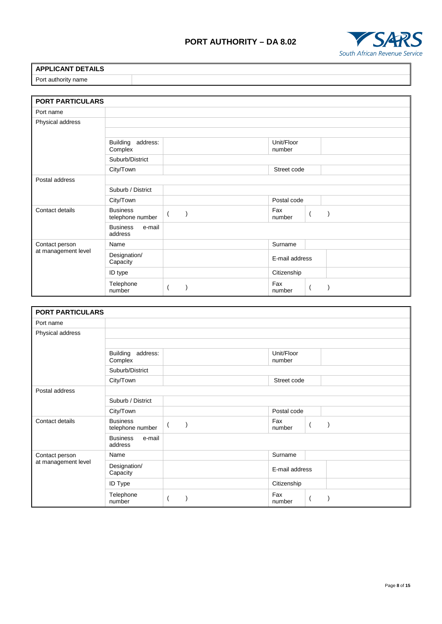# **PORT AUTHORITY – DA 8.02**



| <b>APPLICANT DETAILS</b> |  |
|--------------------------|--|
| Port authority name      |  |

| <b>PORT PARTICULARS</b> |                                        |                           |  |                      |                |  |
|-------------------------|----------------------------------------|---------------------------|--|----------------------|----------------|--|
| Port name               |                                        |                           |  |                      |                |  |
| Physical address        |                                        |                           |  |                      |                |  |
|                         |                                        |                           |  |                      |                |  |
|                         | address:<br><b>Building</b><br>Complex |                           |  | Unit/Floor<br>number |                |  |
|                         | Suburb/District                        |                           |  |                      |                |  |
|                         | City/Town                              |                           |  | Street code          |                |  |
| Postal address          |                                        |                           |  |                      |                |  |
|                         | Suburb / District                      |                           |  |                      |                |  |
|                         | City/Town                              |                           |  | Postal code          |                |  |
| Contact details         | <b>Business</b><br>telephone number    | $\mathcal{E}$<br>$\left($ |  | Fax<br>number        | $\overline{ }$ |  |
|                         | <b>Business</b><br>e-mail<br>address   |                           |  |                      |                |  |
| Contact person          | Name                                   |                           |  | Surname              |                |  |
| at management level     | Designation/<br>Capacity               |                           |  | E-mail address       |                |  |
|                         | ID type                                |                           |  | Citizenship          |                |  |
|                         | Telephone<br>number                    |                           |  | Fax<br>number        |                |  |

| <b>PORT PARTICULARS</b> |                                        |  |                      |  |
|-------------------------|----------------------------------------|--|----------------------|--|
| Port name               |                                        |  |                      |  |
| Physical address        |                                        |  |                      |  |
|                         |                                        |  |                      |  |
|                         | address:<br><b>Building</b><br>Complex |  | Unit/Floor<br>number |  |
|                         | Suburb/District                        |  |                      |  |
|                         | City/Town                              |  | Street code          |  |
| Postal address          |                                        |  |                      |  |
|                         | Suburb / District                      |  |                      |  |
|                         | City/Town                              |  | Postal code          |  |
| Contact details         | <b>Business</b><br>telephone number    |  | Fax<br>number        |  |
|                         | <b>Business</b><br>e-mail<br>address   |  |                      |  |
| Contact person          | Name                                   |  | Surname              |  |
| at management level     | Designation/<br>Capacity               |  | E-mail address       |  |
|                         | ID Type                                |  | Citizenship          |  |
|                         | Telephone<br>number                    |  | Fax<br>number        |  |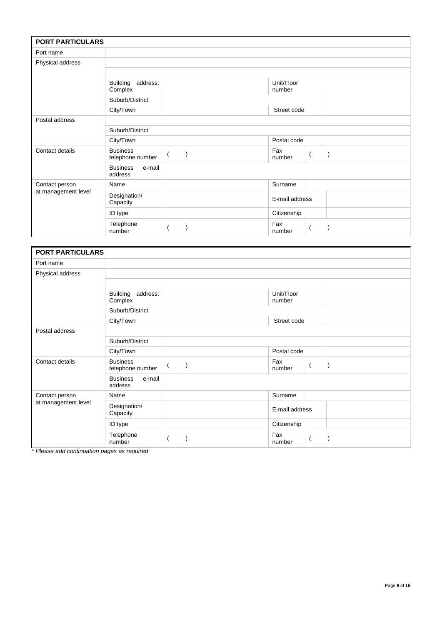| <b>PORT PARTICULARS</b> |                                        |          |                      |  |
|-------------------------|----------------------------------------|----------|----------------------|--|
| Port name               |                                        |          |                      |  |
| Physical address        |                                        |          |                      |  |
|                         |                                        |          |                      |  |
|                         | address:<br><b>Building</b><br>Complex |          | Unit/Floor<br>number |  |
|                         | Suburb/District                        |          |                      |  |
|                         | City/Town                              |          | Street code          |  |
| Postal address          |                                        |          |                      |  |
|                         | Suburb/District                        |          |                      |  |
|                         | City/Town                              |          | Postal code          |  |
| Contact details         | <b>Business</b><br>telephone number    | $\left($ | Fax<br>number        |  |
|                         | <b>Business</b><br>e-mail<br>address   |          |                      |  |
| Contact person          | Name                                   |          | Surname              |  |
| at management level     | Designation/<br>Capacity               |          | E-mail address       |  |
|                         | ID type                                |          | Citizenship          |  |
|                         | Telephone<br>number                    |          | Fax<br>number        |  |

|                     | <b>PORT PARTICULARS</b>                |          |                      |  |  |  |  |
|---------------------|----------------------------------------|----------|----------------------|--|--|--|--|
| Port name           |                                        |          |                      |  |  |  |  |
| Physical address    |                                        |          |                      |  |  |  |  |
|                     |                                        |          |                      |  |  |  |  |
|                     | address:<br><b>Building</b><br>Complex |          | Unit/Floor<br>number |  |  |  |  |
|                     | Suburb/District                        |          |                      |  |  |  |  |
|                     | City/Town                              |          | Street code          |  |  |  |  |
| Postal address      |                                        |          |                      |  |  |  |  |
|                     | Suburb/District                        |          |                      |  |  |  |  |
|                     | City/Town                              |          | Postal code          |  |  |  |  |
| Contact details     | <b>Business</b><br>telephone number    | $\left($ | Fax<br>number        |  |  |  |  |
|                     | <b>Business</b><br>e-mail<br>address   |          |                      |  |  |  |  |
| Contact person      | Name                                   |          | Surname              |  |  |  |  |
| at management level | Designation/<br>Capacity               |          | E-mail address       |  |  |  |  |
|                     | ID type                                |          | Citizenship          |  |  |  |  |
|                     | Telephone<br>number                    |          | Fax<br>number        |  |  |  |  |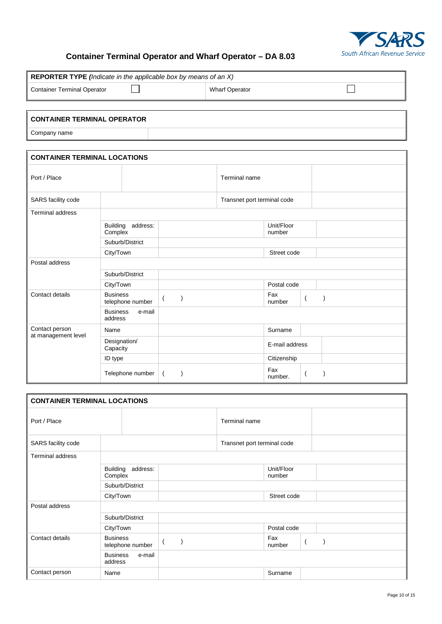

### **Container Terminal Operator and Wharf Operator – DA 8.03**

| REPORTER TYPE (Indicate in the applicable box by means of an X) |                                      |                              |                             |                                  |           |  |  |  |
|-----------------------------------------------------------------|--------------------------------------|------------------------------|-----------------------------|----------------------------------|-----------|--|--|--|
| <b>Container Terminal Operator</b>                              |                                      |                              | <b>Wharf Operator</b>       |                                  |           |  |  |  |
|                                                                 |                                      |                              |                             |                                  |           |  |  |  |
| <b>CONTAINER TERMINAL OPERATOR</b>                              |                                      |                              |                             |                                  |           |  |  |  |
| Company name                                                    |                                      |                              |                             |                                  |           |  |  |  |
|                                                                 |                                      |                              |                             |                                  |           |  |  |  |
| <b>CONTAINER TERMINAL LOCATIONS</b>                             |                                      |                              |                             |                                  |           |  |  |  |
| Port / Place                                                    |                                      |                              | Terminal name               |                                  |           |  |  |  |
| SARS facility code                                              |                                      |                              | Transnet port terminal code |                                  |           |  |  |  |
| <b>Terminal address</b>                                         |                                      |                              |                             |                                  |           |  |  |  |
|                                                                 | Building address:<br>Complex         |                              |                             | Unit/Floor<br>number             |           |  |  |  |
|                                                                 | Suburb/District                      |                              |                             |                                  |           |  |  |  |
|                                                                 | City/Town                            |                              |                             | Street code                      |           |  |  |  |
| Postal address                                                  |                                      |                              |                             |                                  |           |  |  |  |
|                                                                 | Suburb/District                      |                              |                             |                                  |           |  |  |  |
|                                                                 | City/Town                            |                              |                             | Postal code                      |           |  |  |  |
| Contact details                                                 | <b>Business</b><br>telephone number  | $\left( \right)$<br>$\left($ |                             | Fax<br>$\left($<br>number        | $\lambda$ |  |  |  |
|                                                                 | <b>Business</b><br>e-mail<br>address |                              |                             |                                  |           |  |  |  |
| Contact person                                                  | Name                                 |                              |                             | Surname                          |           |  |  |  |
| at management level                                             | Designation/<br>Capacity             |                              |                             | E-mail address                   |           |  |  |  |
|                                                                 | ID type                              |                              |                             | Citizenship                      |           |  |  |  |
|                                                                 | Telephone number                     | $\left($<br>$\lambda$        |                             | Fax<br>$\overline{ }$<br>number. |           |  |  |  |

| <b>CONTAINER TERMINAL LOCATIONS</b> |                                        |               |                             |                      |  |  |
|-------------------------------------|----------------------------------------|---------------|-----------------------------|----------------------|--|--|
| Port / Place                        |                                        | Terminal name |                             |                      |  |  |
| SARS facility code                  |                                        |               | Transnet port terminal code |                      |  |  |
| <b>Terminal address</b>             |                                        |               |                             |                      |  |  |
|                                     | <b>Building</b><br>address:<br>Complex |               |                             | Unit/Floor<br>number |  |  |
|                                     | Suburb/District                        |               |                             |                      |  |  |
|                                     | City/Town                              |               |                             | Street code          |  |  |
| Postal address                      |                                        |               |                             |                      |  |  |
|                                     | Suburb/District                        |               |                             |                      |  |  |
|                                     | City/Town                              |               |                             | Postal code          |  |  |
| Contact details                     | <b>Business</b><br>telephone number    | $\sqrt{2}$    |                             | Fax<br>-1<br>number  |  |  |
|                                     | e-mail<br><b>Business</b><br>address   |               |                             |                      |  |  |
| Contact person                      | Name                                   |               |                             | Surname              |  |  |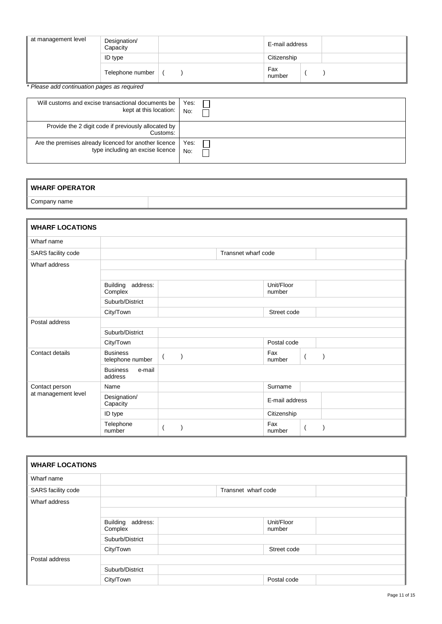| at management level | Designation/<br>Capacity | E-mail address |  |
|---------------------|--------------------------|----------------|--|
|                     | ID type                  | Citizenship    |  |
|                     | Telephone number         | Fax<br>number  |  |

| Will customs and excise transactional documents be              | Yes: |
|-----------------------------------------------------------------|------|
| kept at this location:                                          | No:  |
| Provide the 2 digit code if previously allocated by<br>Customs: |      |
| Are the premises already licenced for another licence           | Yes: |
| type including an excise licence                                | No:  |

## **WHARF OPERATOR**

Company name

| <b>WHARF LOCATIONS</b> |                                      |                                      |                     |                      |                |
|------------------------|--------------------------------------|--------------------------------------|---------------------|----------------------|----------------|
| Wharf name             |                                      |                                      |                     |                      |                |
| SARS facility code     |                                      |                                      | Transnet wharf code |                      |                |
| Wharf address          |                                      |                                      |                     |                      |                |
|                        |                                      |                                      |                     |                      |                |
|                        | Building<br>address:<br>Complex      |                                      |                     | Unit/Floor<br>number |                |
|                        | Suburb/District                      |                                      |                     |                      |                |
|                        | City/Town                            |                                      |                     | Street code          |                |
| Postal address         |                                      |                                      |                     |                      |                |
|                        | Suburb/District                      |                                      |                     |                      |                |
|                        | City/Town                            |                                      |                     | Postal code          |                |
| Contact details        | <b>Business</b><br>telephone number  | $\overline{\phantom{a}}$<br>$\left($ |                     | Fax<br>number        | $\overline{(}$ |
|                        | <b>Business</b><br>e-mail<br>address |                                      |                     |                      |                |
| Contact person         | Name                                 |                                      |                     | Surname              |                |
| at management level    | Designation/<br>Capacity             |                                      |                     | E-mail address       |                |
|                        | ID type                              |                                      |                     | Citizenship          |                |
|                        | Telephone<br>number                  |                                      |                     | Fax<br>number        |                |

| <b>WHARF LOCATIONS</b> |                                 |                     |                      |  |
|------------------------|---------------------------------|---------------------|----------------------|--|
| Wharf name             |                                 |                     |                      |  |
| SARS facility code     |                                 | Transnet wharf code |                      |  |
| Wharf address          |                                 |                     |                      |  |
|                        | Building<br>address:<br>Complex |                     | Unit/Floor<br>number |  |
|                        | Suburb/District                 |                     |                      |  |
|                        | City/Town                       |                     | Street code          |  |
| Postal address         |                                 |                     |                      |  |
|                        | Suburb/District                 |                     |                      |  |
|                        | City/Town                       |                     | Postal code          |  |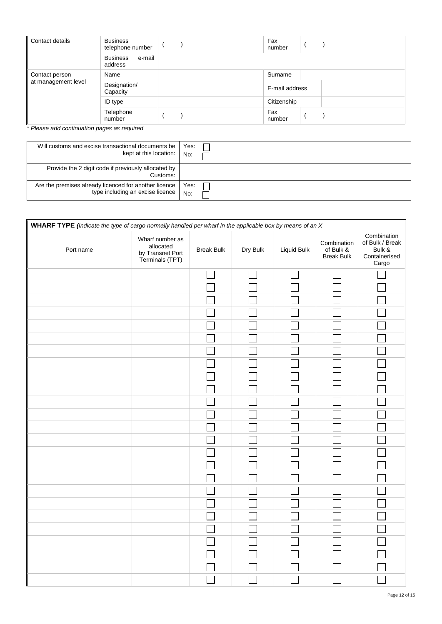| Contact details     | <b>Business</b><br>telephone number  | Fax<br>number  |
|---------------------|--------------------------------------|----------------|
|                     | <b>Business</b><br>e-mail<br>address |                |
| Contact person      | Name                                 | Surname        |
| at management level | Designation/<br>Capacity             | E-mail address |
|                     | ID type                              | Citizenship    |
|                     | Telephone<br>number                  | Fax<br>number  |

| Will customs and excise transactional documents be              | Yes: |
|-----------------------------------------------------------------|------|
| kept at this location:                                          | No:  |
| Provide the 2 digit code if previously allocated by<br>Customs: |      |
| Are the premises already licenced for another licence           | Yes: |
| type including an excise licence                                | No:  |

| Port name | Wharf number as<br>allocated<br>by Transnet Port<br>Terminals (TPT) | <b>Break Bulk</b> | Dry Bulk | Liquid Bulk | Combination<br>of Bulk &<br><b>Break Bulk</b> | Combination<br>of Bulk / Break<br>Bulk &<br>Containerised<br>Cargo |
|-----------|---------------------------------------------------------------------|-------------------|----------|-------------|-----------------------------------------------|--------------------------------------------------------------------|
|           |                                                                     |                   |          |             |                                               |                                                                    |
|           |                                                                     |                   |          |             |                                               |                                                                    |
|           |                                                                     |                   |          |             |                                               |                                                                    |
|           |                                                                     |                   |          |             |                                               |                                                                    |
|           |                                                                     |                   |          |             |                                               |                                                                    |
|           |                                                                     |                   |          |             |                                               |                                                                    |
|           |                                                                     |                   |          |             |                                               |                                                                    |
|           |                                                                     |                   |          |             |                                               |                                                                    |
|           |                                                                     |                   |          |             |                                               |                                                                    |
|           |                                                                     |                   |          |             |                                               |                                                                    |
|           |                                                                     |                   |          |             |                                               |                                                                    |
|           |                                                                     |                   |          |             |                                               |                                                                    |
|           |                                                                     |                   |          |             |                                               |                                                                    |
|           |                                                                     |                   |          |             |                                               |                                                                    |
|           |                                                                     |                   |          |             |                                               |                                                                    |
|           |                                                                     |                   |          |             |                                               |                                                                    |
|           |                                                                     |                   |          |             |                                               |                                                                    |
|           |                                                                     |                   |          |             |                                               |                                                                    |
|           |                                                                     |                   |          |             |                                               |                                                                    |
|           |                                                                     |                   |          |             |                                               |                                                                    |
|           |                                                                     |                   |          |             |                                               |                                                                    |
|           |                                                                     |                   |          |             |                                               |                                                                    |
|           |                                                                     |                   |          |             |                                               |                                                                    |
|           |                                                                     |                   |          |             |                                               |                                                                    |
|           |                                                                     |                   |          |             |                                               |                                                                    |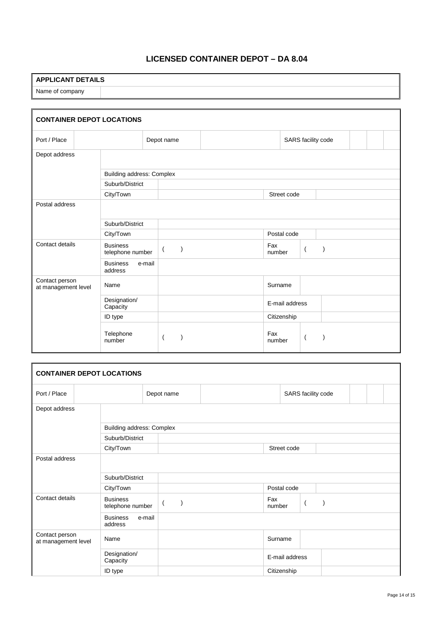# **LICENSED CONTAINER DEPOT – DA 8.04**

# **APPLICANT DETAILS** Name of company

| <b>CONTAINER DEPOT LOCATIONS</b>      |                                     |        |                                 |  |                |                    |                |  |  |  |
|---------------------------------------|-------------------------------------|--------|---------------------------------|--|----------------|--------------------|----------------|--|--|--|
| Port / Place                          |                                     |        | Depot name                      |  |                | SARS facility code |                |  |  |  |
| Depot address                         |                                     |        |                                 |  |                |                    |                |  |  |  |
|                                       | Building address: Complex           |        |                                 |  |                |                    |                |  |  |  |
|                                       | Suburb/District                     |        |                                 |  |                |                    |                |  |  |  |
|                                       | City/Town                           |        |                                 |  | Street code    |                    |                |  |  |  |
| Postal address                        |                                     |        |                                 |  |                |                    |                |  |  |  |
|                                       | Suburb/District                     |        |                                 |  |                |                    |                |  |  |  |
|                                       | City/Town                           |        |                                 |  | Postal code    |                    |                |  |  |  |
| Contact details                       | <b>Business</b><br>telephone number |        | $\mathcal{E}$<br>$\overline{ }$ |  | Fax<br>number  |                    | $\overline{ }$ |  |  |  |
|                                       | <b>Business</b><br>address          | e-mail |                                 |  |                |                    |                |  |  |  |
| Contact person<br>at management level | Name                                |        |                                 |  | Surname        |                    |                |  |  |  |
|                                       | Designation/<br>Capacity            |        |                                 |  | E-mail address |                    |                |  |  |  |
|                                       | ID type                             |        |                                 |  | Citizenship    |                    |                |  |  |  |
|                                       | Telephone<br>number                 |        |                                 |  | Fax<br>number  |                    | -1             |  |  |  |

| <b>CONTAINER DEPOT LOCATIONS</b>      |                                      |                           |                |                    |  |  |  |
|---------------------------------------|--------------------------------------|---------------------------|----------------|--------------------|--|--|--|
| Port / Place                          |                                      | Depot name                |                | SARS facility code |  |  |  |
| Depot address                         |                                      |                           |                |                    |  |  |  |
|                                       | <b>Building address: Complex</b>     |                           |                |                    |  |  |  |
|                                       | Suburb/District                      |                           |                |                    |  |  |  |
|                                       | City/Town                            |                           | Street code    |                    |  |  |  |
| Postal address                        |                                      |                           |                |                    |  |  |  |
|                                       | Suburb/District                      |                           |                |                    |  |  |  |
|                                       | City/Town                            |                           | Postal code    |                    |  |  |  |
| Contact details                       | <b>Business</b><br>telephone number  | $\mathcal{L}$<br>$\left($ | Fax<br>number  | $\overline{(}$     |  |  |  |
|                                       | <b>Business</b><br>e-mail<br>address |                           |                |                    |  |  |  |
| Contact person<br>at management level | Name                                 |                           | Surname        |                    |  |  |  |
|                                       | Designation/<br>Capacity             |                           | E-mail address |                    |  |  |  |
|                                       | ID type                              |                           | Citizenship    |                    |  |  |  |